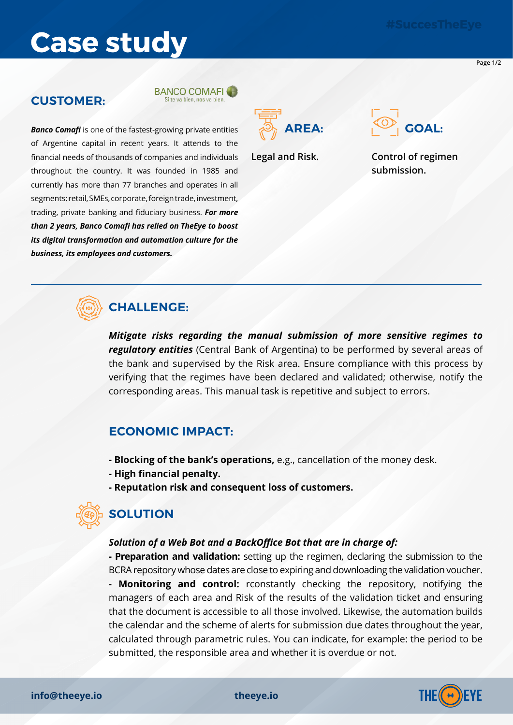# **Case study**

**Page 1/2**

### **CUSTOMER:**





**AREA: GOAL:**

**Legal and Risk. Control of regimen submission.**

# **CHALLENGE:**

*business, its employees and customers.*

*Banco Comafi* is one of the fastest-growing private entities of Argentine capital in recent years. It attends to the financial needs of thousands of companies and individuals throughout the country. It was founded in 1985 and currently has more than 77 branches and operates in all segments: retail, SMEs, corporate, foreign trade, investment, trading, private banking and fiduciary business. *For more than 2 years, Banco Comafi has relied on TheEye to boost its digital transformation and automation culture for the* 

> *Mitigate risks regarding the manual submission of more sensitive regimes to regulatory entities* (Central Bank of Argentina) to be performed by several areas of the bank and supervised by the Risk area. Ensure compliance with this process by verifying that the regimes have been declared and validated; otherwise, notify the corresponding areas. This manual task is repetitive and subject to errors.

## **ECONOMIC IMPACT:**

- **Blocking of the bank's operations,** e.g., cancellation of the money desk.
- **High financial penalty.**
- **Reputation risk and consequent loss of customers.**

# **SOLUTION**

#### *Solution of a Web Bot and a BackOffice Bot that are in charge of:*

**- Preparation and validation:** setting up the regimen, declaring the submission to the BCRA repository whose dates are close to expiring and downloading the validation voucher.

**- Monitoring and control:** rconstantly checking the repository, notifying the managers of each area and Risk of the results of the validation ticket and ensuring that the document is accessible to all those involved. Likewise, the automation builds the calendar and the scheme of alerts for submission due dates throughout the year, calculated through parametric rules. You can indicate, for example: the period to be submitted, the responsible area and whether it is overdue or not.